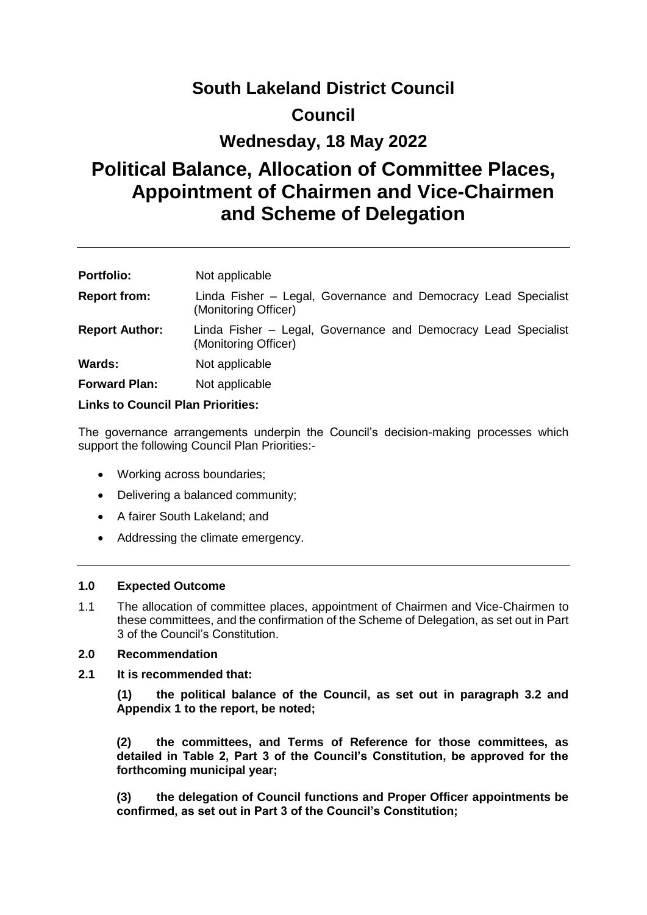# **South Lakeland District Council**

## **Council**

## **Wednesday, 18 May 2022**

# **Political Balance, Allocation of Committee Places, Appointment of Chairmen and Vice-Chairmen and Scheme of Delegation**

| <b>Portfolio:</b>                        | Not applicable                                                                         |  |
|------------------------------------------|----------------------------------------------------------------------------------------|--|
| <b>Report from:</b>                      | Linda Fisher – Legal, Governance and Democracy Lead Specialist<br>(Monitoring Officer) |  |
| <b>Report Author:</b>                    | Linda Fisher – Legal, Governance and Democracy Lead Specialist<br>(Monitoring Officer) |  |
| Wards:                                   | Not applicable                                                                         |  |
| <b>Forward Plan:</b>                     | Not applicable                                                                         |  |
| <b>Links to Council Plan Priorities:</b> |                                                                                        |  |

The governance arrangements underpin the Council's decision-making processes which support the following Council Plan Priorities:-

- Working across boundaries;
- Delivering a balanced community;
- A fairer South Lakeland; and
- Addressing the climate emergency.

#### **1.0 Expected Outcome**

1.1 The allocation of committee places, appointment of Chairmen and Vice-Chairmen to these committees, and the confirmation of the Scheme of Delegation, as set out in Part 3 of the Council's Constitution.

#### **2.0 Recommendation**

**2.1 It is recommended that:**

**(1) the political balance of the Council, as set out in paragraph 3.2 and Appendix 1 to the report, be noted;**

**(2) the committees, and Terms of Reference for those committees, as detailed in Table 2, Part 3 of the Council's Constitution, be approved for the forthcoming municipal year;**

**(3) the delegation of Council functions and Proper Officer appointments be confirmed, as set out in Part 3 of the Council's Constitution;**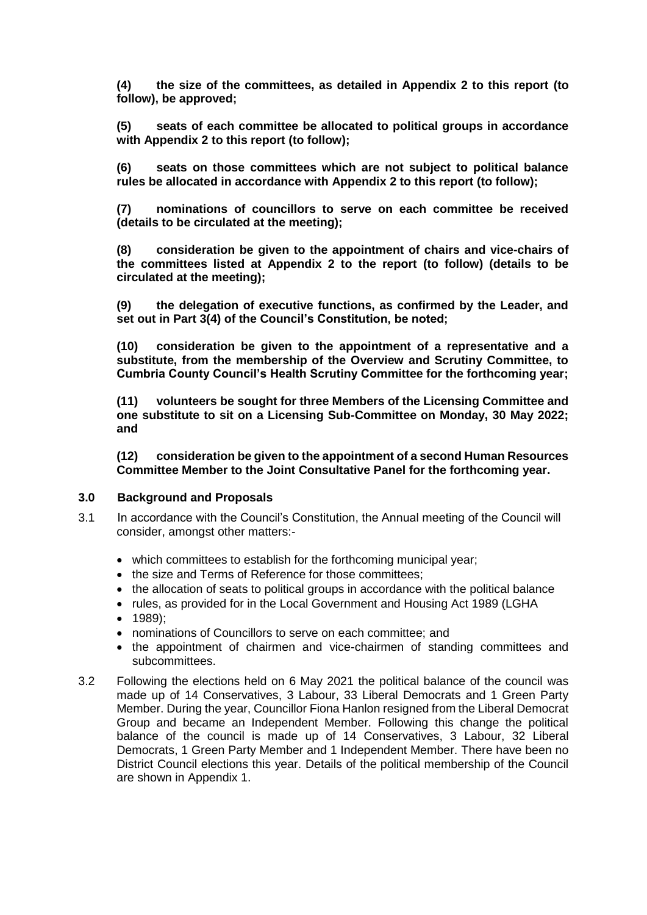**(4) the size of the committees, as detailed in Appendix 2 to this report (to follow), be approved;** 

**(5) seats of each committee be allocated to political groups in accordance with Appendix 2 to this report (to follow);** 

**(6) seats on those committees which are not subject to political balance rules be allocated in accordance with Appendix 2 to this report (to follow);** 

**(7) nominations of councillors to serve on each committee be received (details to be circulated at the meeting);**

**(8) consideration be given to the appointment of chairs and vice-chairs of the committees listed at Appendix 2 to the report (to follow) (details to be circulated at the meeting);**

**(9) the delegation of executive functions, as confirmed by the Leader, and set out in Part 3(4) of the Council's Constitution, be noted;** 

**(10) consideration be given to the appointment of a representative and a substitute, from the membership of the Overview and Scrutiny Committee, to Cumbria County Council's Health Scrutiny Committee for the forthcoming year;**

**(11) volunteers be sought for three Members of the Licensing Committee and one substitute to sit on a Licensing Sub-Committee on Monday, 30 May 2022; and**

**(12) consideration be given to the appointment of a second Human Resources Committee Member to the Joint Consultative Panel for the forthcoming year.**

#### **3.0 Background and Proposals**

- 3.1 In accordance with the Council's Constitution, the Annual meeting of the Council will consider, amongst other matters:
	- which committees to establish for the forthcoming municipal year;
	- the size and Terms of Reference for those committees;
	- the allocation of seats to political groups in accordance with the political balance
	- rules, as provided for in the Local Government and Housing Act 1989 (LGHA
	- 1989):
	- nominations of Councillors to serve on each committee; and
	- the appointment of chairmen and vice-chairmen of standing committees and subcommittees.
- 3.2 Following the elections held on 6 May 2021 the political balance of the council was made up of 14 Conservatives, 3 Labour, 33 Liberal Democrats and 1 Green Party Member. During the year, Councillor Fiona Hanlon resigned from the Liberal Democrat Group and became an Independent Member. Following this change the political balance of the council is made up of 14 Conservatives, 3 Labour, 32 Liberal Democrats, 1 Green Party Member and 1 Independent Member. There have been no District Council elections this year. Details of the political membership of the Council are shown in Appendix 1.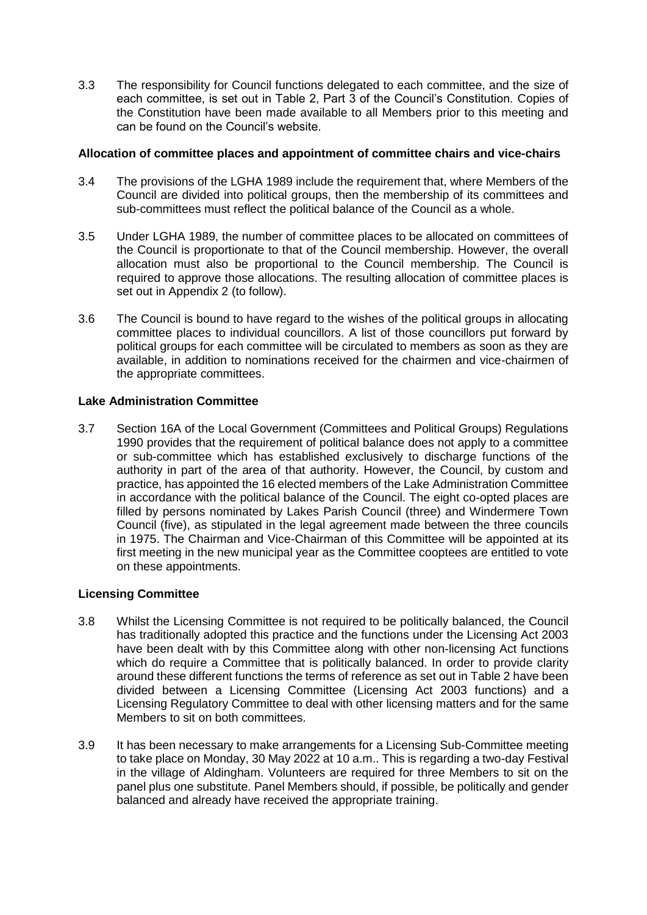3.3 The responsibility for Council functions delegated to each committee, and the size of each committee, is set out in Table 2, Part 3 of the Council's Constitution. Copies of the Constitution have been made available to all Members prior to this meeting and can be found on the Council's website.

#### **Allocation of committee places and appointment of committee chairs and vice-chairs**

- 3.4 The provisions of the LGHA 1989 include the requirement that, where Members of the Council are divided into political groups, then the membership of its committees and sub-committees must reflect the political balance of the Council as a whole.
- 3.5 Under LGHA 1989, the number of committee places to be allocated on committees of the Council is proportionate to that of the Council membership. However, the overall allocation must also be proportional to the Council membership. The Council is required to approve those allocations. The resulting allocation of committee places is set out in Appendix 2 (to follow).
- 3.6 The Council is bound to have regard to the wishes of the political groups in allocating committee places to individual councillors. A list of those councillors put forward by political groups for each committee will be circulated to members as soon as they are available, in addition to nominations received for the chairmen and vice-chairmen of the appropriate committees.

#### **Lake Administration Committee**

3.7 Section 16A of the Local Government (Committees and Political Groups) Regulations 1990 provides that the requirement of political balance does not apply to a committee or sub-committee which has established exclusively to discharge functions of the authority in part of the area of that authority. However, the Council, by custom and practice, has appointed the 16 elected members of the Lake Administration Committee in accordance with the political balance of the Council. The eight co-opted places are filled by persons nominated by Lakes Parish Council (three) and Windermere Town Council (five), as stipulated in the legal agreement made between the three councils in 1975. The Chairman and Vice-Chairman of this Committee will be appointed at its first meeting in the new municipal year as the Committee cooptees are entitled to vote on these appointments.

## **Licensing Committee**

- 3.8 Whilst the Licensing Committee is not required to be politically balanced, the Council has traditionally adopted this practice and the functions under the Licensing Act 2003 have been dealt with by this Committee along with other non-licensing Act functions which do require a Committee that is politically balanced. In order to provide clarity around these different functions the terms of reference as set out in Table 2 have been divided between a Licensing Committee (Licensing Act 2003 functions) and a Licensing Regulatory Committee to deal with other licensing matters and for the same Members to sit on both committees.
- 3.9 It has been necessary to make arrangements for a Licensing Sub-Committee meeting to take place on Monday, 30 May 2022 at 10 a.m.. This is regarding a two-day Festival in the village of Aldingham. Volunteers are required for three Members to sit on the panel plus one substitute. Panel Members should, if possible, be politically and gender balanced and already have received the appropriate training.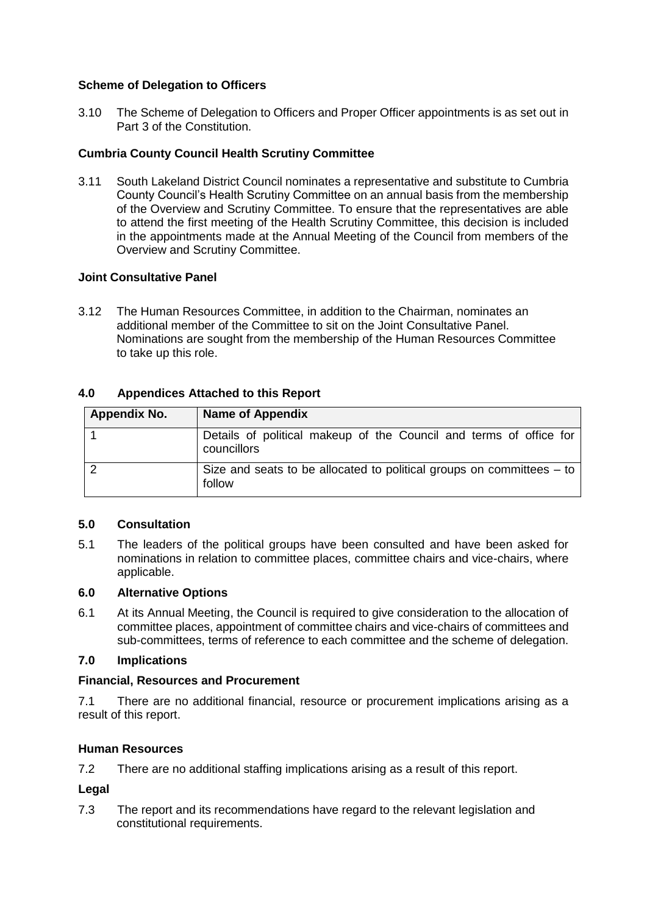#### **Scheme of Delegation to Officers**

3.10 The Scheme of Delegation to Officers and Proper Officer appointments is as set out in Part 3 of the Constitution.

#### **Cumbria County Council Health Scrutiny Committee**

3.11 South Lakeland District Council nominates a representative and substitute to Cumbria County Council's Health Scrutiny Committee on an annual basis from the membership of the Overview and Scrutiny Committee. To ensure that the representatives are able to attend the first meeting of the Health Scrutiny Committee, this decision is included in the appointments made at the Annual Meeting of the Council from members of the Overview and Scrutiny Committee.

#### **Joint Consultative Panel**

3.12 The Human Resources Committee, in addition to the Chairman, nominates an additional member of the Committee to sit on the Joint Consultative Panel. Nominations are sought from the membership of the Human Resources Committee to take up this role.

## **4.0 Appendices Attached to this Report**

| Appendix No. | <b>Name of Appendix</b>                                                           |
|--------------|-----------------------------------------------------------------------------------|
|              | Details of political makeup of the Council and terms of office for<br>councillors |
|              | Size and seats to be allocated to political groups on committees $-$ to<br>follow |

#### **5.0 Consultation**

5.1 The leaders of the political groups have been consulted and have been asked for nominations in relation to committee places, committee chairs and vice-chairs, where applicable.

#### **6.0 Alternative Options**

6.1 At its Annual Meeting, the Council is required to give consideration to the allocation of committee places, appointment of committee chairs and vice-chairs of committees and sub-committees, terms of reference to each committee and the scheme of delegation.

#### **7.0 Implications**

#### **Financial, Resources and Procurement**

7.1 There are no additional financial, resource or procurement implications arising as a result of this report.

#### **Human Resources**

7.2 There are no additional staffing implications arising as a result of this report.

#### **Legal**

7.3 The report and its recommendations have regard to the relevant legislation and constitutional requirements.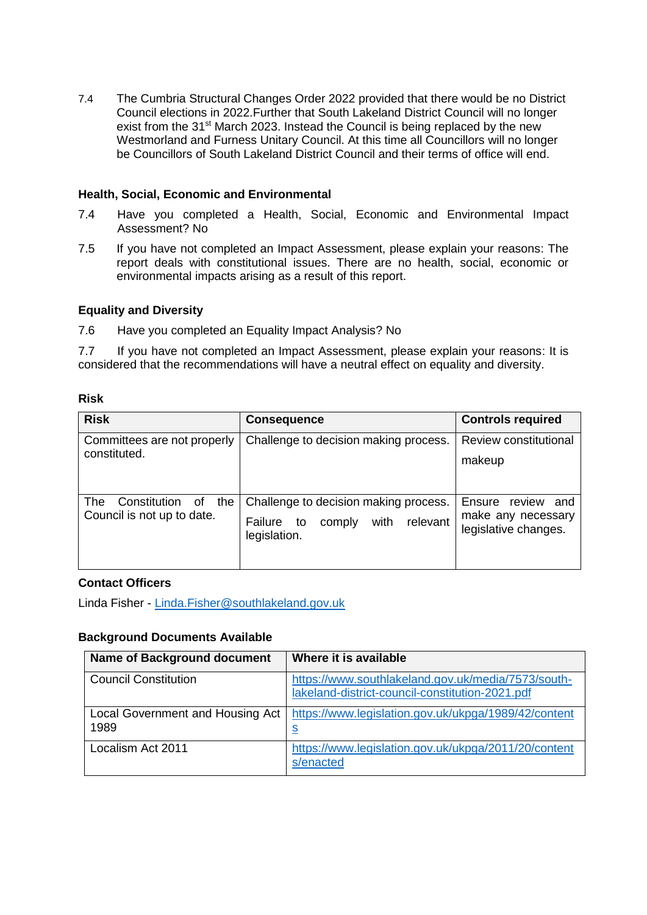7.4 The Cumbria Structural Changes Order 2022 provided that there would be no District Council elections in 2022.Further that South Lakeland District Council will no longer exist from the 31<sup>st</sup> March 2023. Instead the Council is being replaced by the new Westmorland and Furness Unitary Council. At this time all Councillors will no longer be Councillors of South Lakeland District Council and their terms of office will end.

#### **Health, Social, Economic and Environmental**

- 7.4 Have you completed a Health, Social, Economic and Environmental Impact Assessment? No
- 7.5 If you have not completed an Impact Assessment, please explain your reasons: The report deals with constitutional issues. There are no health, social, economic or environmental impacts arising as a result of this report.

#### **Equality and Diversity**

7.6 Have you completed an Equality Impact Analysis? No

7.7 If you have not completed an Impact Assessment, please explain your reasons: It is considered that the recommendations will have a neutral effect on equality and diversity.

#### **Risk**

| <b>Risk</b>                                                           | <b>Consequence</b>                                                                                   | <b>Controls required</b>                                              |
|-----------------------------------------------------------------------|------------------------------------------------------------------------------------------------------|-----------------------------------------------------------------------|
| Committees are not properly<br>constituted.                           | Challenge to decision making process.                                                                | Review constitutional<br>makeup                                       |
| <b>The</b><br>Constitution<br>the<br>οf<br>Council is not up to date. | Challenge to decision making process.<br>relevant<br>with<br>Failure<br>to<br>comply<br>legislation. | review<br>Ensure<br>and<br>make any necessary<br>legislative changes. |

#### **Contact Officers**

Linda Fisher - [Linda.Fisher@southlakeland.gov.uk](mailto:Linda.Fisher@southlakeland.gov.uk)

#### **Background Documents Available**

| <b>Name of Background document</b>       | Where it is available                                                                                 |
|------------------------------------------|-------------------------------------------------------------------------------------------------------|
| <b>Council Constitution</b>              | https://www.southlakeland.gov.uk/media/7573/south-<br>lakeland-district-council-constitution-2021.pdf |
| Local Government and Housing Act<br>1989 | https://www.legislation.gov.uk/ukpga/1989/42/content<br><u>s</u>                                      |
| Localism Act 2011                        | https://www.legislation.gov.uk/ukpga/2011/20/content<br>s/enacted                                     |